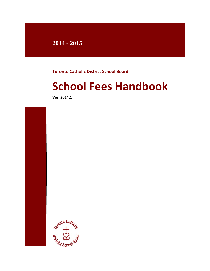# **2014 - 2015**

**Toronto Catholic District School Board**

# **School Fees Handbook**

**Ver. 2014:1**

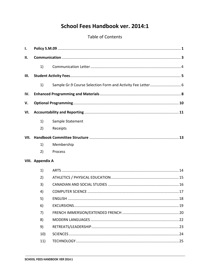# School Fees Handbook ver. 2014:1

### Table of Contents

| Ι.   |                  |                                                             |     |  |  |
|------|------------------|-------------------------------------------------------------|-----|--|--|
| II.  |                  |                                                             |     |  |  |
|      | 1)               |                                                             |     |  |  |
| Ш.   |                  |                                                             |     |  |  |
|      | 1)               | Sample Gr.9 Course Selection Form and Activity Fee Letter 6 |     |  |  |
| IV.  |                  |                                                             |     |  |  |
| V.   |                  |                                                             |     |  |  |
| VI.  |                  |                                                             |     |  |  |
|      | 1)               | Sample Statement                                            |     |  |  |
|      | 2)               | Receipts                                                    |     |  |  |
| VII. |                  |                                                             |     |  |  |
|      | 1)               | Membership                                                  |     |  |  |
|      | 2)               | Process                                                     |     |  |  |
|      | VIII. Appendix A |                                                             |     |  |  |
|      | 1)               |                                                             |     |  |  |
|      | 2)               |                                                             |     |  |  |
|      | 3)               |                                                             |     |  |  |
|      | 4)               |                                                             |     |  |  |
|      | 5)               |                                                             |     |  |  |
|      | 6)               |                                                             |     |  |  |
|      | 7)               |                                                             |     |  |  |
|      | 8)               |                                                             |     |  |  |
|      | 9)               |                                                             |     |  |  |
|      | 101              | COLENICEC                                                   | ີ 1 |  |  |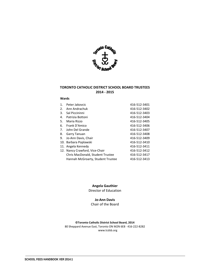

#### **TORONTO CATHOLIC DISTRICT SCHOOL BOARD TRUSTEES 2014 ‐ 2015**

#### **Wards**

| $\mathbf 1$ . | Peter Jakovcic                    | 416-512-3401 |
|---------------|-----------------------------------|--------------|
| 2.            | Ann Andrachuk                     | 416-512-3402 |
| 3.            | Sal Piccininni                    | 416-512-3403 |
| 4.            | Patrizia Bottoni                  | 416-512-3404 |
| 5.            | Maria Rizzo                       | 416-512-3405 |
| 6.            | Frank D'Amico                     | 416-512-3406 |
| 7.            | John Del Grande                   | 416-512-3407 |
| 8.            | Garry Tanuan                      | 416-512-3408 |
| 9.            | Jo-Ann Davis, Chair               | 416-512-3409 |
|               | 10. Barbara Poplawski             | 416-512-3410 |
|               | 11. Angela Kennedy                | 416-512-3411 |
|               | 12. Nancy Crawford, Vice-Chair    | 416-512-3412 |
|               | Chris MacDonald, Student Trustee  | 416-512-3417 |
|               | Hannah McGroarty, Student Trustee | 416-512-3413 |

#### **Angela Gauthier**

Director of Education

#### **Jo‐Ann Davis**

Chair of the Board

**©Toronto Catholic District School Board, 2014** 80 Sheppard Avenue East, Toronto ON M2N 6E8 · 416-222-8282 www.tcdsb.org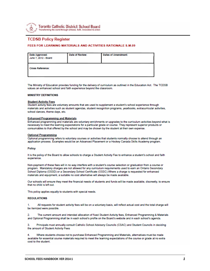

#### **TCDSB Policy Register**

#### FEES FOR LEARNING MATERIALS AND ACTIVITIES RATIONALE S.M.09

| Date Approved:<br>June 7, 2012 - Board | Date of Review: | Dates of Amendment: |
|----------------------------------------|-----------------|---------------------|
| Cross Reference:                       |                 |                     |

The Ministry of Education provides funding for the delivery of curriculum as outlined in the Education Act. The TCDSB values an enhanced school and faith experience beyond the classroom.

#### **MINISTRY DEFINITIONS**

#### **Student Activity Fees**

Student activity fees are voluntary amounts that are used to supplement a student's school experience through materials and activities such as student agendas, student recognition programs, yearbooks, extracurricular activities, school dances, theme days, etc.

#### **Enhanced Programming and Materials**

Enhanced programming and materials are voluntary enrichments or upgrades to the curriculum activities beyond what is necessary to meet the learning expectations for a particular grade or course. They represent superior products or consumables to that offered by the school and may be chosen by the student at their own expense.

#### **Optional Programming**

Optional programming refers to voluntary courses or activities that students normally choose to attend through an application process. Examples would be an Advanced Placement or a Hockey Canada Skills Academy program.

#### Policy

It is the policy of the Board to allow schools to charge a Student Activity Fee to enhance a student's school and faith experience.

Non-payment of these fees will in no way interfere with a student's course selection or graduation from a course or program. Mandatory charges are not allowed for any curriculum requirements used to earn an Ontario Secondary School Diploma (OSSD) or a Secondary School Certificate (OSSC). Where a charge is requested for enhanced materials and equipment, a suitable no cost alternative will always be made available.

Our schools will ensure they meet the financial needs of students and funds will be made available, discreetly, to ensure that no child is left out.

This policy applies equally to students with special needs.

#### **REGULATIONS**

1. All requests for student activity fees will be on a voluntary basis, will reflect actual cost and the total charge will be itemized were possible.

The current amount and intended allocation of fixed Student Activity fees, Enhanced Programming & Materials and Optional Programming shall be in each school's profile on the Board's website and in each school's agenda.

Principals must annually consult Catholic School Advisory Councils (CSAC) and Student Councils in deciding 3. the amount of Student Activity Fees

Where students choose not to purchase Enhanced Programming and Materials, alternatives must be made 4 available for essential course materials required to meet the learning expectations of the course or grade at no extra cost to the student.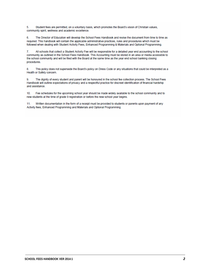Student fees are permitted, on a voluntary basis, which promotes the Board's vision of Christian values, 5. community spirit, wellness and academic excellence.

The Director of Education will develop the School Fees Handbook and revise the document from time to time as 6. required. This handbook will contain the applicable administrative practices, rules and procedures which must be followed when dealing with Student Activity Fees, Enhanced Programming & Materials and Optional Programming.

All schools that collect a Student Activity Fee will be responsible for a detailed year end accounting to the school 7. community as outlined in the School Fees Handbook. This Accounting must be stored in an area or media accessible to the school community and will be filed with the Board at the same time as the year end school banking closing procedures.

8. This policy does not supersede the Board's policy on Dress Code or any situations that could be interpreted as a Health or Safety concern.

9. The dignity of every student and parent will be honoured in the school fee collection process. The School Fees Handbook will outline expectations of privacy and a respectful practice for discreet identification of financial hardship and assistance.

 $10<sup>1</sup>$ Fee schedules for the upcoming school year should be made widely available to the school community and to new students at the time of grade 9 registration or before the new school year begins.

Written documentation in the form of a receipt must be provided to students or parents upon payment of any  $11.$ Activity fees, Enhanced Programming and Materials and Optional Programming.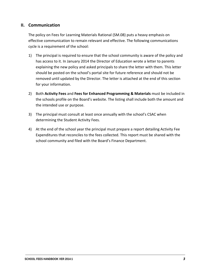### **II. Communication**

The policy on Fees for Learning Materials Rational (SM.08) puts a heavy emphasis on effective communication to remain relevant and effective. The following communications cycle is a requirement of the school:

- 1) The principal is required to ensure that the school community is aware of the policy and has access to it. In January 2014 the Director of Education wrote a letter to parents explaining the new policy and asked principals to share the letter with them. This letter should be posted on the school's portal site for future reference and should not be removed until updated by the Director. The letter is attached at the end of this section for your information.
- 2) Both **Activity Fees** and **Fees for Enhanced Programming & Materials** must be included in the schools profile on the Board's website. The listing shall include both the amount and the intended use or purpose.
- 3) The principal must consult at least once annually with the school's CSAC when determining the Student Activity Fees.
- 4) At the end of the school year the principal must prepare a report detailing Activity Fee Expenditures that reconciles to the fees collected. This report must be shared with the school community and filed with the Board's Finance Department.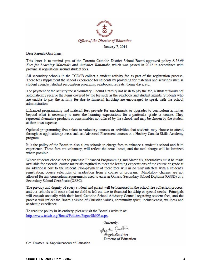

Dear Parents/Guardians:

This letter is to remind you of the Toronto Catholic District School Board approved policy S.M.09 Fees for Learning Materials and Activities Rationale, which was passed in 2012 in accordance with provincial regulations around student fees.

All secondary schools in the TCDSB collect a student activity fee as part of the registration process. These fees supplement the school experience for students by providing for materials and activities such as student agendas, student recognition programs, yearbooks, retreats, theme days, etc.

The payment of the activity fee is voluntary. Should a family not wish to pay the fee, a student would not automatically receive the items covered by the fee such as the yearbook and student agenda. Students who are unable to pay the activity fee due to financial hardship are encouraged to speak with the school administration.

Enhanced programming and material fees provide for enrichments or upgrades to curriculum activities beyond what is necessary to meet the learning expectations for a particular grade or course. They represent alternative products or consumables not offered by the school, and may be chosen by the student at their own expense.

Optional programming fees relate to voluntary courses or activities that students may choose to attend through an application process such as Advanced Placement courses or a Hockey Canada Skills Academy program.

It is the policy of the Board to also allow schools to charge fees to enhance a student's school and faith experience. These fees are voluntary, will reflect the actual costs, and the total charge will be itemized where possible.

Where students choose not to purchase Enhanced Programming and Materials, alternatives must be made available for essential course materials required to meet the learning expectations of the course or grade at no additional cost to the student. Non-payment of these fees will in no way interfere with a student's registration, course selections or graduation from a course or program. Mandatory charges are not allowed for any curriculum requirements used to earn an Ontario Secondary School Diploma (OSSD) or a Secondary School Certificate (OSSC).

The privacy and dignity of every student and parent will be honoured in the school fee collection process, and our schools will ensure that no child is left out due to financial hardship or special needs. Principals will consult annually with their local Catholic School Advisory Council regarding student fees, and the process will reflect the Board's vision of Christian values, community spirit, inclusiveness, wellness and academic excellence.

To read the policy in its entirety, please visit the Board's website at: http://www.tcdsb.org/Board/Policies/Pages/SM09.aspx.

Sincerely.

Argela Canthis

ngela Gauthier Director of Education

Cc: Trustees & Superintendents of Education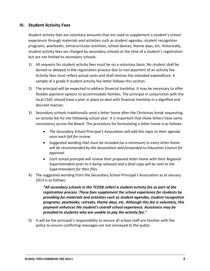### **III. Student Activity Fees**

Student activity fees are voluntary amounts that are used to supplement a student's school experience through materials and activities such as student agendas, student recognition programs, yearbooks, extracurricular activities, school dances, theme days, etc. Historically, student activity fees are charged by secondary schools at the time of a student's registration but are not limited to secondary schools.

- 1) All requests for student activity fees must be on a voluntary basis. No student shall be denied or delayed in the registration process due to non‐payment of an activity fee. Activity fees must reflect actual costs and shall itemize the intended expenditure. A sample of a grade 9 student activity fee letter follows this section.
- 2) The principal will be expected to address financial hardship. It may be necessary to offer flexible payment options to accommodate families. The principal in conjunction with the local CSAC should have a plan in place to deal with financial hardship in a dignified and discreet manner.
- 3) Secondary schools traditionally send a letter home after the Christmas break requesting an activity fee for the following school year. It is important that these letters have some consistency across the Board. The procedure for formulating a letter home is as follows:
	- *The Secondary School Principal's Association will add this topic to their agenda once each fall for review.*
	- *Suggested wording that must be included (as a minimum) in every letter home will be recommended by the Association and forwarded to Education Council for approval.*
	- *Each school principal will review their proposed letter home with their Regional Superintendent prior to it being released and a final copy will be sent to the Superintendent for their files.*
- 4) The suggested wording from the Secondary School Principal's Association as at January 2013 is as follows:

*"All secondary schools in the TCDSB collect a student activity fee as part of the registration process. These fees supplement the school experience for students by providing for materials and activities such as student agendas, student recognition programs, yearbooks, retreats, theme days, etc. Although this fee is voluntary, this payment enhances the student's overall school experience. Assistance may be provided to students who are unable to pay the activity fee."*

5) It will be the principal's responsibility to ensure all school staff are familiar with the policy to ensure conflicting messages are not conveyed to the public.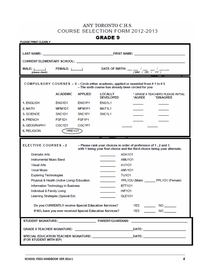# ANY TORONTO C.H.S. COURSE SELECTION FORM 2012-2013

**GRADE 9** 

| <b>PLEASE PRINT CLEARLY</b>                                                                                                                 |                                             |                                 |                                                                                                                                              |                |                                                 |
|---------------------------------------------------------------------------------------------------------------------------------------------|---------------------------------------------|---------------------------------|----------------------------------------------------------------------------------------------------------------------------------------------|----------------|-------------------------------------------------|
|                                                                                                                                             |                                             |                                 |                                                                                                                                              |                |                                                 |
|                                                                                                                                             |                                             |                                 |                                                                                                                                              |                |                                                 |
|                                                                                                                                             |                                             |                                 |                                                                                                                                              |                |                                                 |
| (please check)                                                                                                                              |                                             |                                 | MALE: $(\_\_\_\_$ FEMALE: $(\_\_\_\_$ DATE OF BIRTH: $\_\_\_\_$ / $\_\_\_\_$                                                                 | (MM / DD / YY) |                                                 |
| COMPULSORY COURSES $-6$ – Circle either academic, applied or essential from #1 to #5<br>- The sixth course has already been circled for you |                                             |                                 |                                                                                                                                              |                |                                                 |
|                                                                                                                                             | <b>ACADEMIC</b>                             | <b>APPLIED</b>                  | <b>LOCALLY</b><br>DEVELOPED                                                                                                                  | *AGREE         | * GRADE 8 TEACHERS PLEASE INITIAL:<br>*DISAGREE |
| 1. ENGLISH                                                                                                                                  | ENG1D1                                      | ENG1P1                          | ENG1L1                                                                                                                                       |                |                                                 |
| 2. MATH                                                                                                                                     | MPM <sub>1</sub> D <sub>1</sub>             | MFM1P1                          | MAT <sub>1L1</sub>                                                                                                                           |                |                                                 |
| 3. SCIENCE                                                                                                                                  | SNC <sub>1</sub> D <sub>1</sub>             | SNC <sub>1</sub> P <sub>1</sub> | SNC <sub>1</sub> 1                                                                                                                           |                |                                                 |
| 4. FRENCH                                                                                                                                   | FSF1D1                                      | FSF <sub>1</sub> P <sub>1</sub> |                                                                                                                                              |                |                                                 |
| 5. GEOGRAPHY                                                                                                                                | CGC1D1                                      | CGC <sub>1</sub> P <sub>1</sub> |                                                                                                                                              |                |                                                 |
| 6. RELIGION                                                                                                                                 | HRE101                                      |                                 |                                                                                                                                              |                |                                                 |
|                                                                                                                                             |                                             |                                 |                                                                                                                                              |                |                                                 |
| <b>ELECTIVE COURSES-2</b>                                                                                                                   |                                             |                                 | - Please rank your choices in order of preference of 1, 2 and 3<br>with 1 being your first choice and the third choice being your alternate. |                |                                                 |
| <b>Dramatic Arts</b>                                                                                                                        |                                             |                                 | ADA101                                                                                                                                       |                |                                                 |
| Instrumental Music Band                                                                                                                     |                                             |                                 | AMU <sub>101</sub>                                                                                                                           |                |                                                 |
| <b>Visual Arts</b>                                                                                                                          |                                             |                                 | <b>AVI101</b><br>the control of the con-                                                                                                     |                |                                                 |
| <b>Vocal Music</b>                                                                                                                          |                                             |                                 | AMV <sub>101</sub><br><b>Contract Contract</b>                                                                                               |                |                                                 |
| <b>Exploring Technologies</b>                                                                                                               |                                             |                                 | TIJ101<br>and the control of                                                                                                                 |                |                                                 |
|                                                                                                                                             | Physical & Health (Active Living) Education |                                 |                                                                                                                                              |                | PPL1OU (Male) PPL1OV (Female)                   |
|                                                                                                                                             | Information Technology in Business          |                                 | <b>BTT101</b>                                                                                                                                |                |                                                 |
| Individual & Family Living                                                                                                                  |                                             |                                 | <b>HIF101</b>                                                                                                                                |                |                                                 |
|                                                                                                                                             | Learning Strategies (Special Ed)            |                                 | <b>GLE101</b>                                                                                                                                |                |                                                 |
|                                                                                                                                             |                                             |                                 | Do you CURRENTLY receive Special Education Services?                                                                                         |                | YES NO                                          |
| If NO, have you ever received Special Education Services?<br>YES ________ NO ______                                                         |                                             |                                 |                                                                                                                                              |                |                                                 |
| STUDENT SIGNATURE: PARENT/GUARDIAN:                                                                                                         |                                             |                                 |                                                                                                                                              |                |                                                 |
|                                                                                                                                             |                                             |                                 |                                                                                                                                              |                |                                                 |
| SPECIAL EDUCATION TEACHER SIGNATURE: __________________________DATE: ______________________________<br>(FOR STUDENT WITH IEP)               |                                             |                                 |                                                                                                                                              |                |                                                 |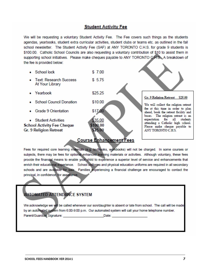#### **Student Activity Fee**

We will be requesting a voluntary Student Activity Fee. The Fee covers such things as the students agendas, vearbooks, student extra curricular activities, student clubs or teams etc. as outlined in the fall school newsletter. The Student Activity Fee (SAF) at ANY TORONTO C.H.S. for grade 9 students is \$100.00. Catholic School Councils are also requesting a voluntary contribution of \$10 to assist them in supporting school initiatives. Please make cheques payable to ANY TORONTO C.H.S. A breakdown of the fee is provided below:

• School lock  $$7.00$ • Text: Research Success  $$5.75$ At Your Library \$25.25  $\bullet$  Yearbook Gr. 9 Religion Retreat \$25.00 • School Council Donation \$10.00 We will collect the religion retreat fee at this time in order to plan Grade 9 Orientation \$17.00 ahead, book the retreat facility and buses. The religion retreat is an expectation for all students • Student Activities 35.00 attending a Catholic high school. 100.00 **School Activity Fee Cheque** Please make cheque payable to \$25.00 Gr. 9 Religion Retreat ANY TORONTO C.H.S.

### **Course Enhancement Fees**

Fees for required core learning materials (e.g. textbooks, workbooks) will not be charged. In some courses or subjects, there may be fees for optional enhanced learning materials or activities. Although voluntary, these fees provide the financial means to enable your child to experience a superior level of service and enhancements that enrich their educational experience. School uniforms and physical education uniforms are required in all secondary schools and are available for sale. Families experiencing a financial challenge are encouraged to contact the principal, in confidence, for assistance.

# **AUTOMATED ATTENDANCE SYSTEM**

We acknowledge we will be called whenever our son/daughter is absent or late from school. The call will be made by an automated system from 6:00-9:00 p.m. Our automated system will call your home telephone number. Parent/Guardian Signature: Date: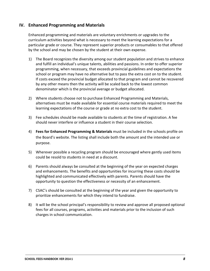### **IV. Enhanced Programming and Materials**

Enhanced programming and materials are voluntary enrichments or upgrades to the curriculum activities beyond what is necessary to meet the learning expectations for a particular grade or course. They represent superior products or consumables to that offered by the school and may be chosen by the student at their own expense.

- 1) The Board recognizes the diversity among our student population and strives to enhance and fulfill an individual's unique talents, abilities and passions. In order to offer superior programming, when necessary, that exceeds provincial guidelines and expectations the school or program may have no alternative but to pass the extra cost on to the student. If costs exceed the provincial budget allocated to that program and cannot be recovered by any other means then the activity will be scaled back to the lowest common denominator which is the provincial average or budget allocated.
- 2) Where students choose not to purchase Enhanced Programming and Materials, alternatives must be made available for essential course materials required to meet the learning expectations of the course or grade at no extra cost to the student.
- 3) Fee schedules should be made available to students at the time of registration. A fee should never interfere or influence a student in their course selection.
- 4) **Fees for Enhanced Programming & Materials** must be included in the schools profile on the Board's website. The listing shall include both the amount and the intended use or purpose.
- 5) Wherever possible a recycling program should be encouraged where gently used items could be resold to students in need at a discount.
- 6) Parents should always be consulted at the beginning of the year on expected charges and enhancements. The benefits and opportunities for incurring these costs should be highlighted and communicated effectively with parents. Parents should have the opportunity to question the effectiveness or necessity of an enhancement.
- 7) CSAC's should be consulted at the beginning of the year and given the opportunity to prioritize enhancements for which they intend to fundraise.
- 8) It will be the school principal's responsibility to review and approve all proposed optional fees for all courses, programs, activities and materials prior to the inclusion of such charges in school communication.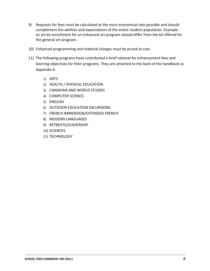- 9) Requests for fees must be calculated at the most economical rate possible and should complement the abilities and expectations of the entire student population. Example ‐ an art kit enrichment for an enhanced art program should differ from the kit offered for the general art program.
- 10) Enhanced programming and material charges must be priced at cost.
- 11) The following programs have contributed a brief rational for enhancement fees and learning objectives for their programs. They are attached to the back of the handbook as Appendix A.
	- 1) ARTS
	- 2) HEALTH / PHYSICAL EDUCATION
	- 3) CANADIAN AND WORLD STUDIES
	- 4) COMPUTER SCIENCE
	- 5) ENGLISH
	- 6) OUTDOOR EDUCATION EXCURSIONS
	- 7) FRENCH IMMERSION/EXTENDED FRENCH
	- 8) MODERN LANGUAGES
	- 9) RETREATS/LEADERSHIP
	- 10) SCIENCES
	- 11) TECHNOLOGY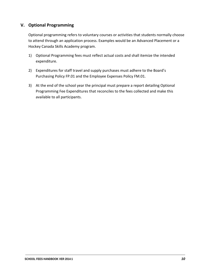### **V. Optional Programming**

Optional programming refers to voluntary courses or activities that students normally choose to attend through an application process. Examples would be an Advanced Placement or a Hockey Canada Skills Academy program.

- 1) Optional Programming fees must reflect actual costs and shall itemize the intended expenditure.
- 2) Expenditures for staff travel and supply purchases must adhere to the Board's Purchasing Policy FP.01 and the Employee Expenses Policy FM.01.
- 3) At the end of the school year the principal must prepare a report detailing Optional Programming Fee Expenditures that reconciles to the fees collected and make this available to all participants.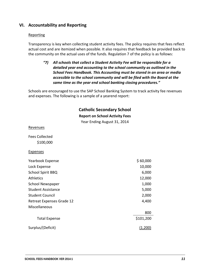### **VI. Accountability and Reporting**

#### Reporting

Transparency is key when collecting student activity fees. The policy requires that fees reflect actual cost and are itemized when possible. It also requires that feedback be provided back to the community on the actual uses of the funds. Regulation 7 of the policy is as follows:

*"7) All schools that collect a Student Activity Fee will be responsible for a detailed year end accounting to the school community as outlined in the School Fees Handbook. This Accounting must be stored in an area or media accessible to the school community and will be filed with the Board at the same time as the year end school banking closing procedures."*

Schools are encouraged to use the SAP School Banking System to track activity fee revenues and expenses. The following is a sample of a yearend report:

### **Catholic Secondary School**

#### **Report on School Activity Fees**

Year Ending August 31, 2014

| <b>Revenues</b>           |           |
|---------------------------|-----------|
| <b>Fees Collected</b>     |           |
| \$100,000                 |           |
| <b>Expenses</b>           |           |
| Yearbook Expense          | \$60,000  |
| Lock Expense              | 10,000    |
| <b>School Spirit BBQ</b>  | 6,000     |
| <b>Athletics</b>          | 12,000    |
| <b>School Newspaper</b>   | 1,000     |
| <b>Student Assistance</b> | 5,000     |
| <b>Student Council</b>    | 2,000     |
| Retreat Expenses Grade 12 | 4,400     |
| Miscellaneous             |           |
|                           | 800       |
| <b>Total Expense</b>      | \$101,200 |
| Surplus/(Deficit)         | (1,200)   |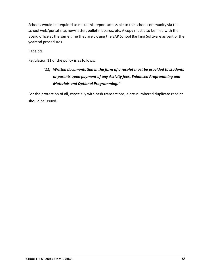Schools would be required to make this report accessible to the school community via the school web/portal site, newsletter, bulletin boards, etc. A copy must also be filed with the Board office at the same time they are closing the SAP School Banking Software as part of the yearend procedures.

#### **Receipts**

Regulation 11 of the policy is as follows:

# *"11) Written documentation in the form of a receipt must be provided to students or parents upon payment of any Activity fees, Enhanced Programming and Materials and Optional Programming."*

For the protection of all, especially with cash transactions, a pre-numbered duplicate receipt should be issued.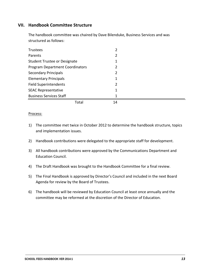### **VII. Handbook Committee Structure**

The handbook committee was chaired by Dave Bilenduke, Business Services and was structured as follows:

| Trustees                               | 2  |  |
|----------------------------------------|----|--|
| Parents                                | 2  |  |
| Student Trustee or Designate           |    |  |
| <b>Program Department Coordinators</b> | 2  |  |
| <b>Secondary Principals</b>            | 2  |  |
| <b>Elementary Principals</b>           | 1  |  |
| <b>Field Superintendents</b>           | 2  |  |
| <b>SEAC Representative</b>             | 1  |  |
| <b>Business Services Staff</b>         | 1  |  |
| Total                                  | 14 |  |

#### Process:

- 1) The committee met twice in October 2012 to determine the handbook structure, topics and implementation issues.
- 2) Handbook contributions were delegated to the appropriate staff for development.
- 3) All handbook contributions were approved by the Communications Department and Education Council.
- 4) The Draft Handbook was brought to the Handbook Committee for a final review.
- 5) The Final Handbook is approved by Director's Council and included in the next Board Agenda for review by the Board of Trustees.
- 6) The handbook will be reviewed by Education Council at least once annually and the committee may be reformed at the discretion of the Director of Education.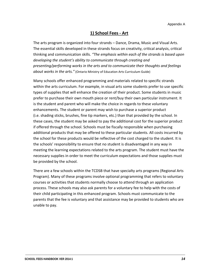### **1) School Fees ‐ Art**

The arts program is organized into four strands – Dance, Drama, Music and Visual Arts. The essential skills developed in these strands focus on creativity, critical analysis, critical thinking and communication skills. *"The emphasis within each of the strands is based upon developing the student's ability to communicate through creating and presenting/performing works in the arts and to communicate their thoughts and feelings about works in the arts."* (Ontario Ministry of Education Arts Curriculum Guide)

Many schools offer enhanced programming and materials related to specific strands within the arts curriculum. For example, in visual arts some students prefer to use specific types of supplies that will enhance the creation of their product. Some students in music prefer to purchase their own mouth piece or rent/buy their own particular instrument. It is the student and parent who will make the choice in regards to these voluntary enhancements. The student or parent may wish to purchase a superior product (i.e. shading sticks, brushes, fine tip markers, etc.) than that provided by the school. In these cases, the student may be asked to pay the additional cost for the superior product if offered through the school. Schools must be fiscally responsible when purchasing additional products that may be offered to these particular students. All costs incurred by the school for these products would be reflective of the cost charged to the student. It is the schools' responsibility to ensure that no student is disadvantaged in any way in meeting the learning expectations related to the arts program. The student must have the necessary supplies in order to meet the curriculum expectations and those supplies must be provided by the school.

There are a few schools within the TCDSB that have specialty arts programs (Regional Arts Program). Many of these programs involve optional programming that refers to voluntary courses or activities that students normally choose to attend through an application process. These schools may also ask parents for a voluntary fee to help with the costs of their child participating in this enhanced program. Schools must communicate to the parents that the fee is voluntary and that assistance may be provided to students who are unable to pay.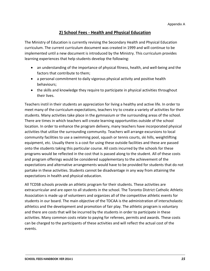### **2) School Fees ‐ Health and Physical Education**

The Ministry of Education is currently revising the Secondary Health and Physical Education curriculum. The current curriculum document was created in 1999 and will continue to be implemented until a new document is introduced by the Ministry. This curriculum provides learning experiences that help students develop the following:

- an understanding of the importance of physical fitness, health, and well-being and the factors that contribute to them;
- a personal commitment to daily vigorous physical activity and positive health behaviours;
- the skills and knowledge they require to participate in physical activities throughout their lives.

Teachers instil in their students an appreciation for living a healthy and active life. In order to meet many of the curriculum expectations, teachers try to create a variety of activities for their students. Many activities take place in the gymnasium or the surrounding areas of the school. There are times in which teachers will create learning opportunities outside of the school location. In order to enhance the program delivery, many teachers have incorporated physical activities that utilize the surrounding community. Teachers will arrange excursions to local community facilities to use a swimming pool, squash or tennis courts, ski hills, weightlifting equipment, etc. Usually there is a cost for using these outside facilities and these are passed onto the students taking this particular course. All costs incurred by the schools for these programs would be reflected in the cost that is passed along to the student. All of these costs and program offerings would be considered supplementary to the achievement of the expectations and alternative arrangements would have to be provided for students that do not partake in these activities. Students cannot be disadvantage in any way from attaining the expectations in health and physical education.

All TCDSB schools provide an athletic program for their students. These activities are extracurricular and are open to all students in the school. The Toronto District Catholic Athletic Association is made up of volunteers and organizes all of the competitive athletic events for students in our board. The main objective of the TDCAA is the administration of interscholastic athletics and the development and promotion of fair play. The athletic program is voluntary and there are costs that will be incurred by the students in order to participate in these activities. Many common costs relate to paying for referees, permits and awards. These costs can be charged to the participants of these activities and will reflect the actual cost of the events.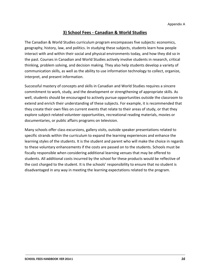### **3) School Fees ‐ Canadian & World Studies**

The Canadian & World Studies curriculum program encompasses five subjects: economics, geography, history, law, and politics. In studying these subjects, students learn how people interact with and within their social and physical environments today, and how they did so in the past. Courses in Canadian and World Studies actively involve students in research, critical thinking, problem solving, and decision making. They also help students develop a variety of communication skills, as well as the ability to use information technology to collect, organize, interpret, and present information.

Successful mastery of concepts and skills in Canadian and World Studies requires a sincere commitment to work, study, and the development or strengthening of appropriate skills. As well, students should be encouraged to actively pursue opportunities outside the classroom to extend and enrich their understanding of these subjects. For example, it is recommended that they create their own files on current events that relate to their areas of study, or that they explore subject‐related volunteer opportunities, recreational reading materials, movies or documentaries, or public affairs programs on television.

Many schools offer class excursions, gallery visits, outside speaker presentations related to specific strands within the curriculum to expand the learning experiences and enhance the learning styles of the students. It is the student and parent who will make the choice in regards to these voluntary enhancements if the costs are passed on to the students. Schools must be fiscally responsible when considering additional learning venues that may be offered to students. All additional costs incurred by the school for these products would be reflective of the cost charged to the student. It is the schools' responsibility to ensure that no student is disadvantaged in any way in meeting the learning expectations related to the program.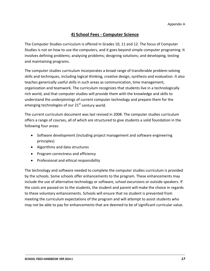### **4) School Fees ‐ Computer Science**

The Computer Studies curriculum is offered in Grades 10, 11 and 12. The focus of Computer Studies is not on how to use the computers, and it goes beyond simple computer programing. It involves defining problems; analysing problems; designing solutions; and developing, testing and maintaining programs.

The computer studies curriculum incorporates a broad range of transferable problem‐solving skills and techniques, including logical thinking, creative design, synthesis and evaluation. It also teaches generically useful skills in such areas as communication, time management, organization and teamwork. The curriculum recognizes that students live in a technologically rich world, and that computer studies will provide them with the knowledge and skills to understand the underpinnings of current computer technology and prepare them for the emerging technologies of our  $21<sup>st</sup>$  century world.

The current curriculum document was last revised in 2008. The computer studies curriculum offers a range of courses, all of which are structured to give students a solid foundation in the following four areas:

- Software development (including project management and software engineering principles)
- Algorithms and data structures
- Program correctness and efficiency
- Professional and ethical responsibility

The technology and software needed to complete the computer studies curriculum is provided by the schools. Some schools offer enhancements to the program. These enhancements may include the use of alternative technology or software, school excursions or outside speakers. If the costs are passed on to the students, the student and parent will make the choice in regards to these voluntary enhancements. Schools will ensure that no student is prevented from meeting the curriculum expectations of the program and will attempt to assist students who may not be able to pay for enhancements that are deemed to be of significant curricular value.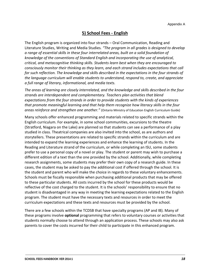### **5) School Fees ‐ English**

The English program is organized into four strands – Oral Communication, Reading and Literature Studies, Writing and Media Studies*. "The program in all grades is designed to develop a range of essential skills in these four interrelated areas, built on a solid foundation of knowledge of the conventions of Standard English and incorporating the use of analytical, critical, and metacognitive thinking skills. Students learn best when they are encouraged to consciously monitor their thinking as they learn, and each strand includes expectations that call for such reflection. The knowledge and skills described in the expectations in the four strands of the language curriculum will enable students to understand, respond to, create, and appreciate a full range of literary, informational, and media texts.*

*The areas of learning are closely interrelated, and the knowledge and skills described in the four strands are interdependent and complementary. Teachers plan activities that blend expectations from the four strands in order to provide students with the kinds of experiences that promote meaningful learning and that help them recognize how literacy skills in the four areas reinforce and strengthen one another."* (Ontario Ministry of Education English Curriculum Guide)

Many schools offer enhanced programming and materials related to specific strands within the English curriculum. For example, in some school communities, excursions to the theatre (Stratford, Niagara on the Lake) are planned so that students can see a performance of a play studied in class. Theatrical companies are also invited into the school, as are authors and storytellers. These presentations are related to specific strands within the curriculum and are intended to expand the learning experiences and enhance the learning of students. In the Reading and Literature strand of the curriculum, or while completing an ISU, some students prefer to use a personal copy of a novel or play. The student or parent may wish to purchase a different edition of a text than the one provided by the school. Additionally, while completing research assignments, some students may prefer their own copy of a research guide. In these cases, the student may be asked to pay the additional cost if offered through the school. It is the student and parent who will make the choice in regards to these voluntary enhancements. Schools must be fiscally responsible when purchasing additional products that may be offered to these particular students. All costs incurred by the school for these products would be reflective of the cost charged to the student. It is the schools' responsibility to ensure that no student is disadvantaged in any way in meeting the learning expectations related to the English program. The student must have the necessary texts and resources in order to meet the curriculum expectations and these texts and resources must be provided by the school.

There are a few schools within the TCDSB that have specialty programs (AP and IB). Many of these programs involve **optional** programming that refers to voluntary courses or activities that students normally choose to attend through an application process. These schools may also ask parents to cover the costs incurred for their child to participate in this enhanced program.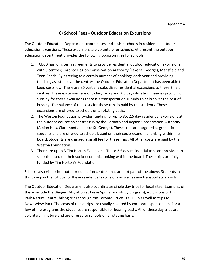### **6) School Fees ‐ Outdoor Education Excursions**

The Outdoor Education Department coordinates and assists schools in residential outdoor education excursions. These excursions are voluntary for schools. At present the outdoor education department provides the following opportunities for schools:

- 1. TCDSB has long term agreements to provide residential outdoor education excursions with 3 centres; Toronto Region Conservation Authority (Lake St. George), Mansfield and Teen Ranch. By agreeing to a certain number of bookings each year and providing teaching assistance at the centres the Outdoor Education Department has been able to keep costs low. There are 86 partially subsidized residential excursions to these 3 field centres. These excursions are of 5‐day, 4‐day and 2.5 days duration. Besides providing subsidy for these excursions there is a transportation subsidy to help cover the cost of bussing. The balance of the costs for these trips is paid by the students. These excursions are offered to schools on a rotating basis.
- 2. The Weston Foundation provides funding for up to 35, 2.5 day residential excursions at the outdoor education centres run by the Toronto and Region Conservation Authority (Albion Hills, Claremont and Lake St. George). These trips are targeted at grade six students and are offered to schools based on their socio‐economic ranking within the board. Students are charged a small fee for these trips. All other costs are paid by the Weston Foundation.
- 3. There are up to 3 Tim Horton Excursions. These 2.5 day residential trips are provided to schools based on their socio‐economic ranking within the board. These trips are fully funded by Tim Horton's Foundation.

Schools also visit other outdoor education centres that are not part of the above. Students in this case pay the full cost of these residential excursions as well as any transportation costs.

The Outdoor Education Department also coordinates single day trips for local sites. Examples of these include the Winged Migration at Leslie Spit (a bird study program), excursions to High Park Nature Centre, hiking trips through the Toronto Bruce Trail Club as well as trips to Downsview Park. The costs of these trips are usually covered by corporate sponsorship. For a few of the programs the students are responsible for bussing costs. All of these day trips are voluntary in nature and are offered to schools on a rotating basis.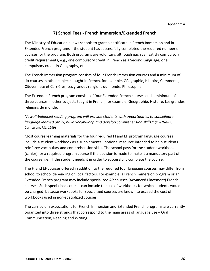### **7) School Fees ‐ French Immersion/Extended French**

The Ministry of Education allows schools to grant a certificate in French Immersion and in Extended French programs if the student has successfully completed the required number of courses for the program. Both programs are voluntary, although each can satisfy compulsory credit requirements, e.g., one compulsory credit in French as a Second Language, one compulsory credit in Geography, etc.

The French Immersion program consists of four French Immersion courses and a minimum of six courses in other subjects taught in French, for example, Géographie, Histoire, Commerce, Citoyenneté et Carrières, Les grandes religions du monde, Philosophie.

The Extended French program consists of four Extended French courses and a minimum of three courses in other subjects taught in French, for example, Géographie, Histoire, Les grandes religions du monde.

*"A well‐balanced reading program will provide students with opportunities to consolidate language learned orally, build vocabulary, and develop comprehension skills."* (The Ontario Curriculum, FSL, 1999)

Most course learning materials for the four required FI and EF program language courses include a student workbook as a supplemental, optional resource intended to help students reinforce vocabulary and comprehension skills. The school pays for the student workbook (cahier) for a required program course if the decision is made to make it a mandatory part of the course, i.e., if the student needs it in order to successfully complete the course.

The FI and EF courses offered in addition to the required four language courses may differ from school to school depending on local factors. For example, a French Immersion program or an Extended French program may include specialized AP courses (Advanced Placement) French courses. Such specialized courses can include the use of workbooks for which students would be charged, because workbooks for specialized courses are known to exceed the cost of workbooks used in non‐specialized courses.

The curriculum expectations for French Immersion and Extended French programs are currently organized into three strands that correspond to the main areas of language use – Oral Communication, Reading and Writing.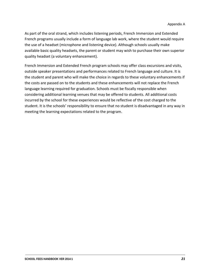As part of the oral strand, which includes listening periods, French Immersion and Extended French programs usually include a form of language lab work, where the student would require the use of a headset (microphone and listening device). Although schools usually make available basic quality headsets, the parent or student may wish to purchase their own superior quality headset (a voluntary enhancement).

French Immersion and Extended French program schools may offer class excursions and visits, outside speaker presentations and performances related to French language and culture. It is the student and parent who will make the choice in regards to these voluntary enhancements if the costs are passed on to the students and these enhancements will not replace the French language learning required for graduation. Schools must be fiscally responsible when considering additional learning venues that may be offered to students. All additional costs incurred by the school for these experiences would be reflective of the cost charged to the student. It is the schools' responsibility to ensure that no student is disadvantaged in any way in meeting the learning expectations related to the program.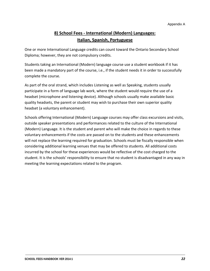# **8) School Fees ‐ International (Modern) Languages: Italian, Spanish, Portuguese**

One or more International Language credits can count toward the Ontario Secondary School Diploma; however, they are not compulsory credits.

Students taking an International (Modern) language course use a student workbook if it has been made a mandatory part of the course, i.e., if the student needs it in order to successfully complete the course.

As part of the oral strand, which includes Listening as well as Speaking, students usually participate in a form of language lab work, where the student would require the use of a headset (microphone and listening device). Although schools usually make available basic quality headsets, the parent or student may wish to purchase their own superior quality headset (a voluntary enhancement).

Schools offering International (Modern) Language courses may offer class excursions and visits, outside speaker presentations and performances related to the culture of the International (Modern) Language. It is the student and parent who will make the choice in regards to these voluntary enhancements if the costs are passed on to the students and these enhancements will not replace the learning required for graduation. Schools must be fiscally responsible when considering additional learning venues that may be offered to students. All additional costs incurred by the school for these experiences would be reflective of the cost charged to the student. It is the schools' responsibility to ensure that no student is disadvantaged in any way in meeting the learning expectations related to the program.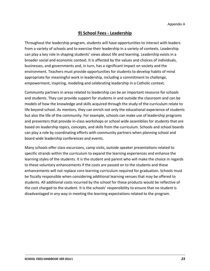### **9) School Fees ‐ Leadership**

Throughout the leadership program, students will have opportunities to interact with leaders from a variety of schools and to exercise their leadership in a variety of contexts. Leadership can play a key role in shaping students' views about life and learning. Leadership exists in a broader social and economic context. It is affected by the values and choices of individuals, businesses, and governments and, in turn, has a significant impact on society and the environment. Teachers must provide opportunities for students to develop habits of mind appropriate for meaningful work in leadership, including a commitment to challenge, empowerment, inspiring, modeling and celebrating leadership in a Catholic context.

Community partners in areas related to leadership can be an important resource for schools and students. They can provide support for students in and outside the classroom and can be models of how the knowledge and skills acquired through the study of the curriculum relate to life beyond school. As mentors, they can enrich not only the educational experience of students but also the life of the community. For example, schools can make use of leadership programs and presenters that provide in‐class workshops or school wide assemblies for students that are based on leadership topics, concepts, and skills from the curriculum. Schools and school boards can play a role by coordinating efforts with community partners when planning school and board wide leadership conferences and events.

Many schools offer class excursions, camp visits, outside speaker presentations related to specific strands within the curriculum to expand the learning experiences and enhance the learning styles of the students. It is the student and parent who will make the choice in regards to these voluntary enhancements if the costs are passed on to the students and these enhancements will not replace core learning curriculum required for graduation. Schools must be fiscally responsible when considering additional learning venues that may be offered to students. All additional costs incurred by the school for these products would be reflective of the cost charged to the student. It is the schools' responsibility to ensure that no student is disadvantaged in any way in meeting the learning expectations related to the program.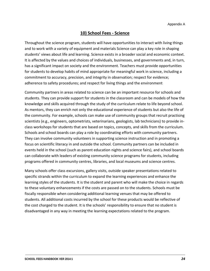### **10) School Fees ‐ Science**

Throughout the science program, students will have opportunities to interact with living things and to work with a variety of equipment and materials Science can play a key role in shaping students' views about life and learning. Science exists in a broader social and economic context. It is affected by the values and choices of individuals, businesses, and governments and, in turn, has a significant impact on society and the environment. Teachers must provide opportunities for students to develop habits of mind appropriate for meaningful work in science, including a commitment to accuracy, precision, and integrity in observation; respect for evidence; adherence to safety procedures; and respect for living things and the environment

Community partners in areas related to science can be an important resource for schools and students. They can provide support for students in the classroom and can be models of how the knowledge and skills acquired through the study of the curriculum relate to life beyond school. As mentors, they can enrich not only the educational experience of students but also the life of the community. For example, schools can make use of community groups that recruit practising scientists (e.g., engineers, optometrists, veterinarians, geologists, lab technicians) to provide in‐ class workshops for students that are based on topics, concepts, and skills from the curriculum. Schools and school boards can play a role by coordinating efforts with community partners. They can involve community volunteers in supporting science instruction and in promoting a focus on scientific literacy in and outside the school. Community partners can be included in events held in the school (such as parent education nights and science fairs), and school boards can collaborate with leaders of existing community science programs for students, including programs offered in community centres, libraries, and local museums and science centres.

Many schools offer class excursions, gallery visits, outside speaker presentations related to specific strands within the curriculum to expand the learning experiences and enhance the learning styles of the students. It is the student and parent who will make the choice in regards to these voluntary enhancements if the costs are passed on to the students. Schools must be fiscally responsible when considering additional learning venues that may be offered to students. All additional costs incurred by the school for these products would be reflective of the cost charged to the student. It is the schools' responsibility to ensure that no student is disadvantaged in any way in meeting the learning expectations related to the program.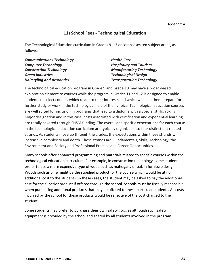### **11) School Fees ‐ Technological Education**

The Technological Education curriculum in Grades 9–12 encompasses ten subject areas, as follows:

| <b>Health Care</b>               |
|----------------------------------|
| <b>Hospitality and Tourism</b>   |
| <b>Manufacturing Technology</b>  |
| <b>Technological Design</b>      |
| <b>Transportation Technology</b> |
|                                  |

The technological education program in Grade 9 and Grade 10 may have a broad‐based exploration element to courses while the program in Grades 11 and 12 is designed to enable students to select courses which relate to their interests and which will help them prepare for further study or work in the technological field of their choice. Technological education courses are well suited for inclusion in programs that lead to a diploma with a Specialist High Skills Major designation and in this case, costs associated with certification and experiential learning are totally covered through SHSM funding. The overall and specific expectations for each course in the technological education curriculum are typically organized into four distinct but related strands. As students move up through the grades, the expectations within these strands will increase in complexity and depth. These strands are: Fundamentals, Skills, Technology, the Environment and Society and Professional Practice and Career Opportunities.

Many schools offer enhanced programming and materials related to specific courses within the technological education curriculum. For example, in construction technology, some students prefer to use a more expensive type of wood such as mahogany or oak in furniture design. Woods such as pine might be the supplied product for the course which would be at no additional cost to the students. In these cases, the student may be asked to pay the additional cost for the superior product if offered through the school. Schools must be fiscally responsible when purchasing additional products that may be offered to these particular students. All costs incurred by the school for these products would be reflective of the cost charged to the student.

Some students may prefer to purchase their own safety goggles although such safety equipment is provided by the school and shared by all students involved in the program.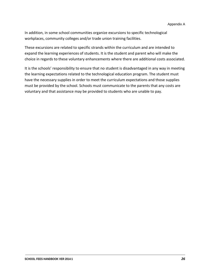In addition, in some school communities organize excursions to specific technological workplaces, community colleges and/or trade union training facilities.

These excursions are related to specific strands within the curriculum and are intended to expand the learning experiences of students. It is the student and parent who will make the choice in regards to these voluntary enhancements where there are additional costs associated.

It is the schools' responsibility to ensure that no student is disadvantaged in any way in meeting the learning expectations related to the technological education program. The student must have the necessary supplies in order to meet the curriculum expectations and those supplies must be provided by the school. Schools must communicate to the parents that any costs are voluntary and that assistance may be provided to students who are unable to pay.